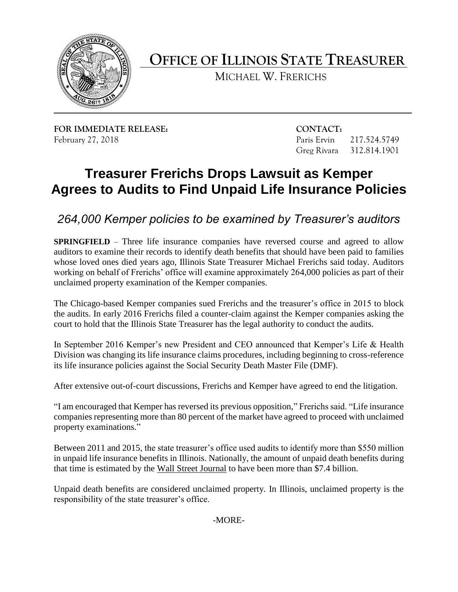

**OFFICE OF ILLINOIS STATE TREASURER** 

MICHAEL W. FRERICHS

**FOR IMMEDIATE RELEASE: CONTACT:** 

217.524.5749 February 27, 2018 Paris Ervin 217.524.5749 Greg Rivara 312.814.1901

## **Treasurer Frerichs Drops Lawsuit as Kemper Agrees to Audits to Find Unpaid Life Insurance Policies**

*264,000 Kemper policies to be examined by Treasurer's auditors*

 **SPRINGFIELD** – Three life insurance companies have reversed course and agreed to allow auditors to examine their records to identify death benefits that should have been paid to families working on behalf of Frerichs' office will examine approximately 264,000 policies as part of their whose loved ones died years ago, Illinois State Treasurer Michael Frerichs said today. Auditors unclaimed property examination of the Kemper companies.

 the audits. In early 2016 Frerichs filed a counter-claim against the Kemper companies asking the The Chicago-based Kemper companies sued Frerichs and the treasurer's office in 2015 to block court to hold that the Illinois State Treasurer has the legal authority to conduct the audits.

 In September 2016 Kemper's new President and CEO announced that Kemper's Life & Health Division was changing its life insurance claims procedures, including beginning to cross-reference its life insurance policies against the Social Security Death Master File (DMF).

After extensive out-of-court discussions, Frerichs and Kemper have agreed to end the litigation.

 companies representing more than 80 percent of the market have agreed to proceed with unclaimed "I am encouraged that Kemper has reversed its previous opposition," Frerichs said. "Life insurance property examinations."

 Between 2011 and 2015, the state treasurer's office used audits to identify more than \$550 million in unpaid life insurance benefits in Illinois. Nationally, the amount of unpaid death benefits during that time is estimated by the Wall Street Journal to have been more than \$7.4 billion.

 Unpaid death benefits are considered unclaimed property. In Illinois, unclaimed property is the responsibility of the state treasurer's office.

-MORE-